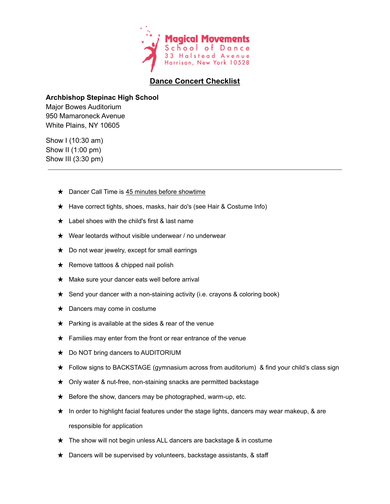

## **Dance Concert Checklist**

## **Archbishop Stepinac High School**

Major Bowes Auditorium 950 Mamaroneck Avenue White Plains, NY 10605

Show I (10:30 am) Show II (1:00 pm) Show III (3:30 pm)

- **★** Dancer Call Time is 45 minutes before showtime
- ★ Have correct tights, shoes, masks, hair do's (see Hair & Costume Info)
- $\star$  Label shoes with the child's first & last name
- $\star$  Wear leotards without visible underwear / no underwear
- $\star$  Do not wear jewelry, except for small earrings
- ★ Remove tattoos & chipped nail polish
- ★ Make sure your dancer eats well before arrival
- ★ Send your dancer with a non-staining activity (i.e. crayons & coloring book)
- ★ Dancers may come in costume
- $\star$  Parking is available at the sides & rear of the venue
- $\star$  Families may enter from the front or rear entrance of the venue
- ★ Do NOT bring dancers to AUDITORIUM
- ★ Follow signs to BACKSTAGE (gymnasium across from auditorium) & find your child's class sign
- ★ Only water & nut-free, non-staining snacks are permitted backstage
- $\star$  Before the show, dancers may be photographed, warm-up, etc.
- ★ In order to highlight facial features under the stage lights, dancers may wear makeup, & are responsible for application
- ★ The show will not begin unless ALL dancers are backstage & in costume
- ★ Dancers will be supervised by volunteers, backstage assistants, & staff